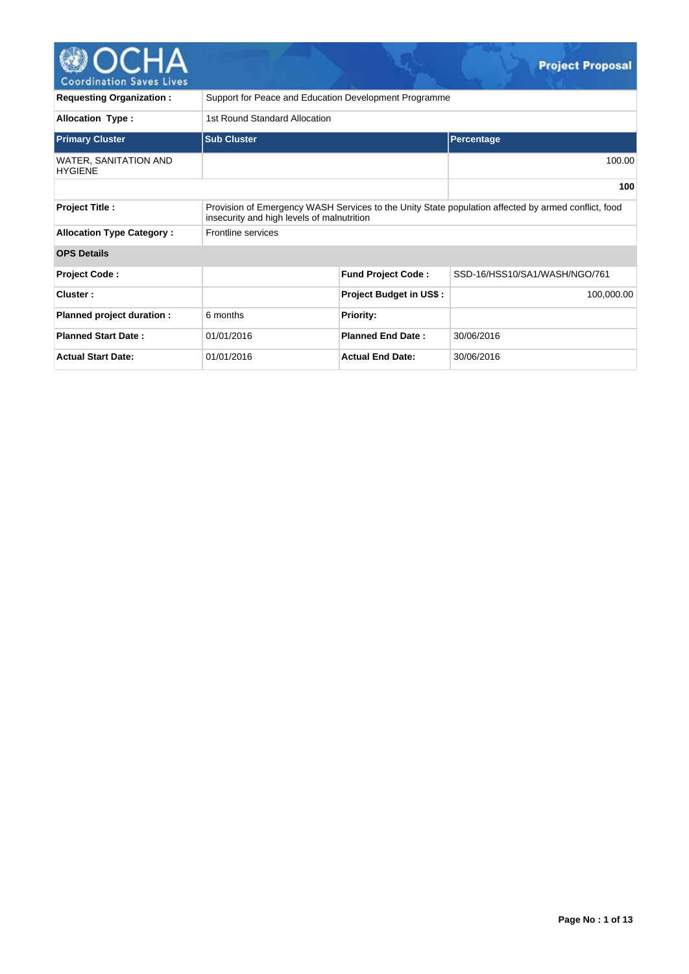

| <b>Requesting Organization:</b>         | Support for Peace and Education Development Programme                                                                                             |                                |                               |  |  |  |  |  |  |  |
|-----------------------------------------|---------------------------------------------------------------------------------------------------------------------------------------------------|--------------------------------|-------------------------------|--|--|--|--|--|--|--|
| <b>Allocation Type:</b>                 | 1st Round Standard Allocation                                                                                                                     |                                |                               |  |  |  |  |  |  |  |
| <b>Primary Cluster</b>                  | <b>Sub Cluster</b>                                                                                                                                |                                | Percentage                    |  |  |  |  |  |  |  |
| WATER, SANITATION AND<br><b>HYGIENE</b> |                                                                                                                                                   |                                | 100.00                        |  |  |  |  |  |  |  |
|                                         |                                                                                                                                                   |                                | 100                           |  |  |  |  |  |  |  |
| <b>Project Title:</b>                   | Provision of Emergency WASH Services to the Unity State population affected by armed conflict, food<br>insecurity and high levels of malnutrition |                                |                               |  |  |  |  |  |  |  |
| <b>Allocation Type Category:</b>        | Frontline services                                                                                                                                |                                |                               |  |  |  |  |  |  |  |
| <b>OPS Details</b>                      |                                                                                                                                                   |                                |                               |  |  |  |  |  |  |  |
| <b>Project Code:</b>                    |                                                                                                                                                   | <b>Fund Project Code:</b>      | SSD-16/HSS10/SA1/WASH/NGO/761 |  |  |  |  |  |  |  |
| Cluster:                                |                                                                                                                                                   | <b>Project Budget in US\$:</b> | 100,000.00                    |  |  |  |  |  |  |  |
| Planned project duration :              | 6 months                                                                                                                                          | <b>Priority:</b>               |                               |  |  |  |  |  |  |  |
| <b>Planned Start Date:</b>              | 01/01/2016                                                                                                                                        | <b>Planned End Date:</b>       | 30/06/2016                    |  |  |  |  |  |  |  |
| <b>Actual Start Date:</b>               | 01/01/2016                                                                                                                                        | <b>Actual End Date:</b>        | 30/06/2016                    |  |  |  |  |  |  |  |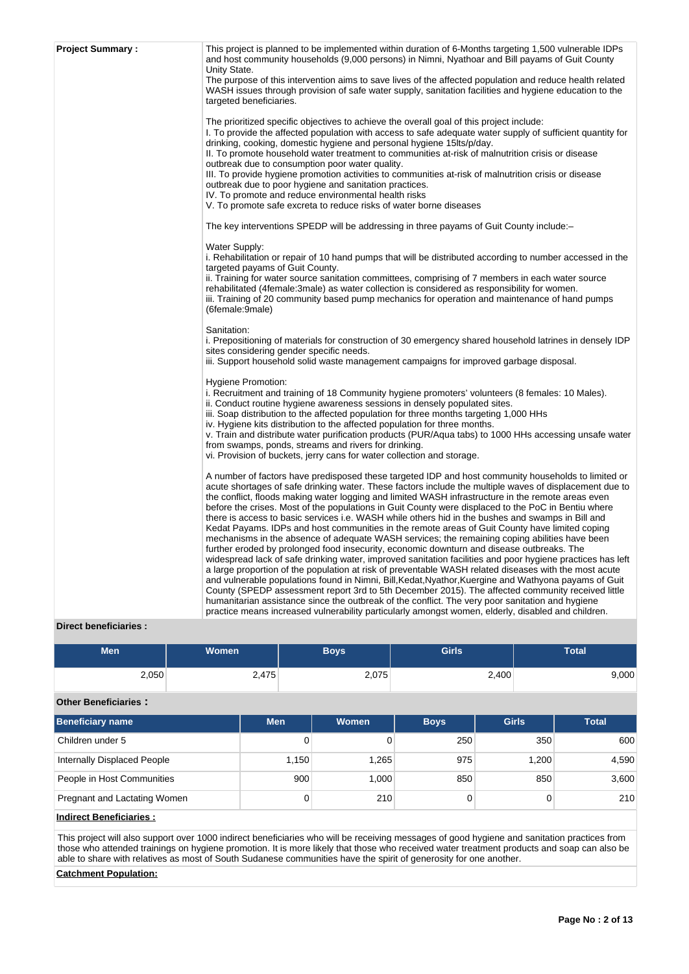| This project is planned to be implemented within duration of 6-Months targeting 1,500 vulnerable IDPs<br>and host community households (9,000 persons) in Nimni, Nyathoar and Bill payams of Guit County<br>Unity State.                                                                                                                                                                                                                                                                                                                                                                                                                                                                                                                                                                                                                                                                                                                                                                                                                                                                                                                                                                                                                                                                                                                                                                                                                                                        |
|---------------------------------------------------------------------------------------------------------------------------------------------------------------------------------------------------------------------------------------------------------------------------------------------------------------------------------------------------------------------------------------------------------------------------------------------------------------------------------------------------------------------------------------------------------------------------------------------------------------------------------------------------------------------------------------------------------------------------------------------------------------------------------------------------------------------------------------------------------------------------------------------------------------------------------------------------------------------------------------------------------------------------------------------------------------------------------------------------------------------------------------------------------------------------------------------------------------------------------------------------------------------------------------------------------------------------------------------------------------------------------------------------------------------------------------------------------------------------------|
| The purpose of this intervention aims to save lives of the affected population and reduce health related<br>WASH issues through provision of safe water supply, sanitation facilities and hygiene education to the<br>targeted beneficiaries.                                                                                                                                                                                                                                                                                                                                                                                                                                                                                                                                                                                                                                                                                                                                                                                                                                                                                                                                                                                                                                                                                                                                                                                                                                   |
| The prioritized specific objectives to achieve the overall goal of this project include:<br>I. To provide the affected population with access to safe adequate water supply of sufficient quantity for<br>drinking, cooking, domestic hygiene and personal hygiene 15lts/p/day.<br>II. To promote household water treatment to communities at-risk of malnutrition crisis or disease<br>outbreak due to consumption poor water quality.<br>III. To provide hygiene promotion activities to communities at-risk of malnutrition crisis or disease<br>outbreak due to poor hygiene and sanitation practices.<br>IV. To promote and reduce environmental health risks<br>V. To promote safe excreta to reduce risks of water borne diseases                                                                                                                                                                                                                                                                                                                                                                                                                                                                                                                                                                                                                                                                                                                                        |
| The key interventions SPEDP will be addressing in three payams of Guit County include:-                                                                                                                                                                                                                                                                                                                                                                                                                                                                                                                                                                                                                                                                                                                                                                                                                                                                                                                                                                                                                                                                                                                                                                                                                                                                                                                                                                                         |
| Water Supply:<br>i. Rehabilitation or repair of 10 hand pumps that will be distributed according to number accessed in the<br>targeted payams of Guit County.<br>ii. Training for water source sanitation committees, comprising of 7 members in each water source<br>rehabilitated (4female:3male) as water collection is considered as responsibility for women.<br>iii. Training of 20 community based pump mechanics for operation and maintenance of hand pumps<br>(6female:9male)                                                                                                                                                                                                                                                                                                                                                                                                                                                                                                                                                                                                                                                                                                                                                                                                                                                                                                                                                                                         |
| Sanitation:<br>i. Prepositioning of materials for construction of 30 emergency shared household latrines in densely IDP<br>sites considering gender specific needs.<br>iii. Support household solid waste management campaigns for improved garbage disposal.                                                                                                                                                                                                                                                                                                                                                                                                                                                                                                                                                                                                                                                                                                                                                                                                                                                                                                                                                                                                                                                                                                                                                                                                                   |
| Hygiene Promotion:<br>i. Recruitment and training of 18 Community hygiene promoters' volunteers (8 females: 10 Males).<br>ii. Conduct routine hygiene awareness sessions in densely populated sites.<br>iii. Soap distribution to the affected population for three months targeting 1,000 HHs<br>iv. Hygiene kits distribution to the affected population for three months.<br>v. Train and distribute water purification products (PUR/Aqua tabs) to 1000 HHs accessing unsafe water<br>from swamps, ponds, streams and rivers for drinking.<br>vi. Provision of buckets, jerry cans for water collection and storage.                                                                                                                                                                                                                                                                                                                                                                                                                                                                                                                                                                                                                                                                                                                                                                                                                                                        |
| A number of factors have predisposed these targeted IDP and host community households to limited or<br>acute shortages of safe drinking water. These factors include the multiple waves of displacement due to<br>the conflict, floods making water logging and limited WASH infrastructure in the remote areas even<br>before the crises. Most of the populations in Guit County were displaced to the PoC in Bentiu where<br>there is access to basic services i.e. WASH while others hid in the bushes and swamps in Bill and<br>Kedat Payams. IDPs and host communities in the remote areas of Guit County have limited coping<br>mechanisms in the absence of adequate WASH services; the remaining coping abilities have been<br>further eroded by prolonged food insecurity, economic downturn and disease outbreaks. The<br>widespread lack of safe drinking water, improved sanitation facilities and poor hygiene practices has left<br>a large proportion of the population at risk of preventable WASH related diseases with the most acute<br>and vulnerable populations found in Nimni, Bill, Kedat, Nyathor, Kuergine and Wathyona payams of Guit<br>County (SPEDP assessment report 3rd to 5th December 2015). The affected community received little<br>humanitarian assistance since the outbreak of the conflict. The very poor sanitation and hygiene<br>practice means increased vulnerability particularly amongst women, elderly, disabled and children. |
|                                                                                                                                                                                                                                                                                                                                                                                                                                                                                                                                                                                                                                                                                                                                                                                                                                                                                                                                                                                                                                                                                                                                                                                                                                                                                                                                                                                                                                                                                 |

## **Direct beneficiaries :**

| <b>Men</b> | Women<br>Boys |       | <b>Girls</b> | Total |
|------------|---------------|-------|--------------|-------|
| 2,050      | 2,475         | 2,075 | 2,400        | 0.000 |

## **Other Beneficiaries :**

| <b>Beneficiary name</b>      | <b>Men</b> | <b>Women</b> | <b>Boys</b> | <b>Girls</b> | <b>Total</b> |
|------------------------------|------------|--------------|-------------|--------------|--------------|
| Children under 5             | 0          |              | 250         | 350          | 600          |
| Internally Displaced People  | 1.150      | 1,265        | 975         | 1.200        | 4,590        |
| People in Host Communities   | 900        | 1.000        | 850         | 850          | 3,600        |
| Pregnant and Lactating Women | 0          | 210          |             | 0            | 210          |
| المستلوم المتساد المستلومات  |            |              |             |              |              |

## **Indirect Beneficiaries :**

This project will also support over 1000 indirect beneficiaries who will be receiving messages of good hygiene and sanitation practices from those who attended trainings on hygiene promotion. It is more likely that those who received water treatment products and soap can also be able to share with relatives as most of South Sudanese communities have the spirit of generosity for one another.

## **Catchment Population:**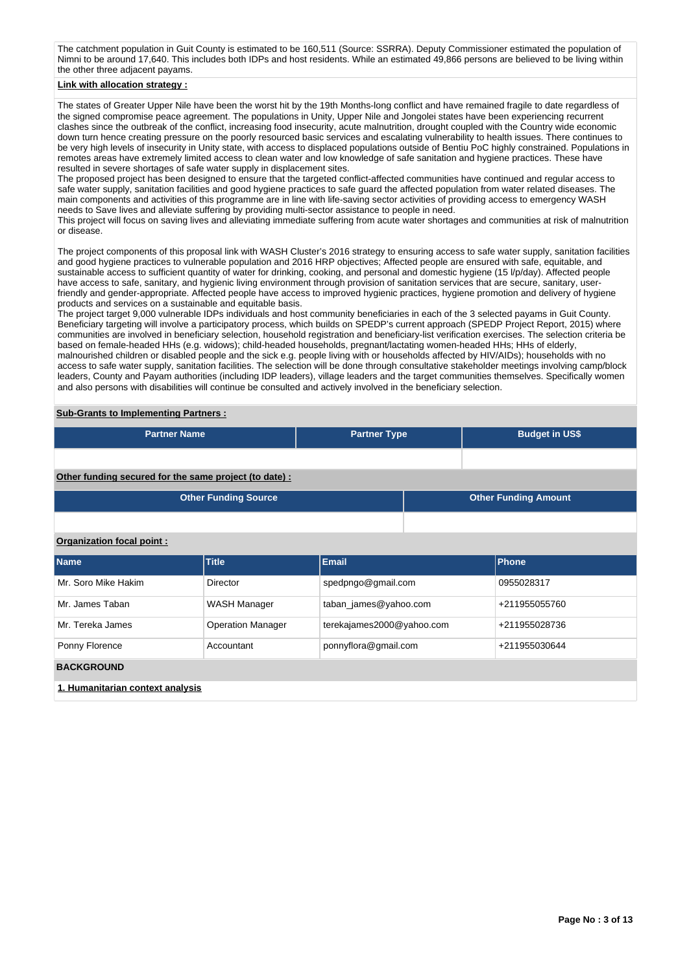The catchment population in Guit County is estimated to be 160,511 (Source: SSRRA). Deputy Commissioner estimated the population of Nimni to be around 17,640. This includes both IDPs and host residents. While an estimated 49,866 persons are believed to be living within the other three adjacent payams.

## **Link with allocation strategy :**

The states of Greater Upper Nile have been the worst hit by the 19th Months-long conflict and have remained fragile to date regardless of the signed compromise peace agreement. The populations in Unity, Upper Nile and Jongolei states have been experiencing recurrent clashes since the outbreak of the conflict, increasing food insecurity, acute malnutrition, drought coupled with the Country wide economic down turn hence creating pressure on the poorly resourced basic services and escalating vulnerability to health issues. There continues to be very high levels of insecurity in Unity state, with access to displaced populations outside of Bentiu PoC highly constrained. Populations in remotes areas have extremely limited access to clean water and low knowledge of safe sanitation and hygiene practices. These have resulted in severe shortages of safe water supply in displacement sites.

The proposed project has been designed to ensure that the targeted conflict-affected communities have continued and regular access to safe water supply, sanitation facilities and good hygiene practices to safe guard the affected population from water related diseases. The main components and activities of this programme are in line with life-saving sector activities of providing access to emergency WASH needs to Save lives and alleviate suffering by providing multi-sector assistance to people in need.

This project will focus on saving lives and alleviating immediate suffering from acute water shortages and communities at risk of malnutrition or disease.

The project components of this proposal link with WASH Cluster's 2016 strategy to ensuring access to safe water supply, sanitation facilities and good hygiene practices to vulnerable population and 2016 HRP objectives; Affected people are ensured with safe, equitable, and sustainable access to sufficient quantity of water for drinking, cooking, and personal and domestic hygiene (15 l/p/day). Affected people have access to safe, sanitary, and hygienic living environment through provision of sanitation services that are secure, sanitary, userfriendly and gender-appropriate. Affected people have access to improved hygienic practices, hygiene promotion and delivery of hygiene products and services on a sustainable and equitable basis.

The project target 9,000 vulnerable IDPs individuals and host community beneficiaries in each of the 3 selected payams in Guit County. Beneficiary targeting will involve a participatory process, which builds on SPEDP's current approach (SPEDP Project Report, 2015) where communities are involved in beneficiary selection, household registration and beneficiary-list verification exercises. The selection criteria be based on female-headed HHs (e.g. widows); child-headed households, pregnant/lactating women-headed HHs; HHs of elderly, malnourished children or disabled people and the sick e.g. people living with or households affected by HIV/AIDs); households with no access to safe water supply, sanitation facilities. The selection will be done through consultative stakeholder meetings involving camp/block leaders, County and Payam authorities (including IDP leaders), village leaders and the target communities themselves. Specifically women and also persons with disabilities will continue be consulted and actively involved in the beneficiary selection.

### **Sub-Grants to Implementing Partners :**

| <b>Partner Name</b>                                    | <b>Partner Type</b>         |                           | <b>Budget in US\$</b> |                             |  |  |  |  |  |  |
|--------------------------------------------------------|-----------------------------|---------------------------|-----------------------|-----------------------------|--|--|--|--|--|--|
|                                                        |                             |                           |                       |                             |  |  |  |  |  |  |
| Other funding secured for the same project (to date) : |                             |                           |                       |                             |  |  |  |  |  |  |
|                                                        | <b>Other Funding Source</b> |                           |                       | <b>Other Funding Amount</b> |  |  |  |  |  |  |
|                                                        |                             |                           |                       |                             |  |  |  |  |  |  |
| Organization focal point:                              |                             |                           |                       |                             |  |  |  |  |  |  |
| <b>Name</b>                                            | <b>Title</b>                | <b>Email</b>              |                       | Phone                       |  |  |  |  |  |  |
| Mr. Soro Mike Hakim                                    | <b>Director</b>             | spedpngo@gmail.com        |                       | 0955028317                  |  |  |  |  |  |  |
| Mr. James Taban                                        | WASH Manager                | taban_james@yahoo.com     |                       | +211955055760               |  |  |  |  |  |  |
| Mr. Tereka James                                       | <b>Operation Manager</b>    | terekajames2000@yahoo.com |                       | +211955028736               |  |  |  |  |  |  |
| Ponny Florence                                         | Accountant                  | ponnyflora@gmail.com      |                       | +211955030644               |  |  |  |  |  |  |
| <b>BACKGROUND</b>                                      |                             |                           |                       |                             |  |  |  |  |  |  |
| 1. Humanitarian context analysis                       |                             |                           |                       |                             |  |  |  |  |  |  |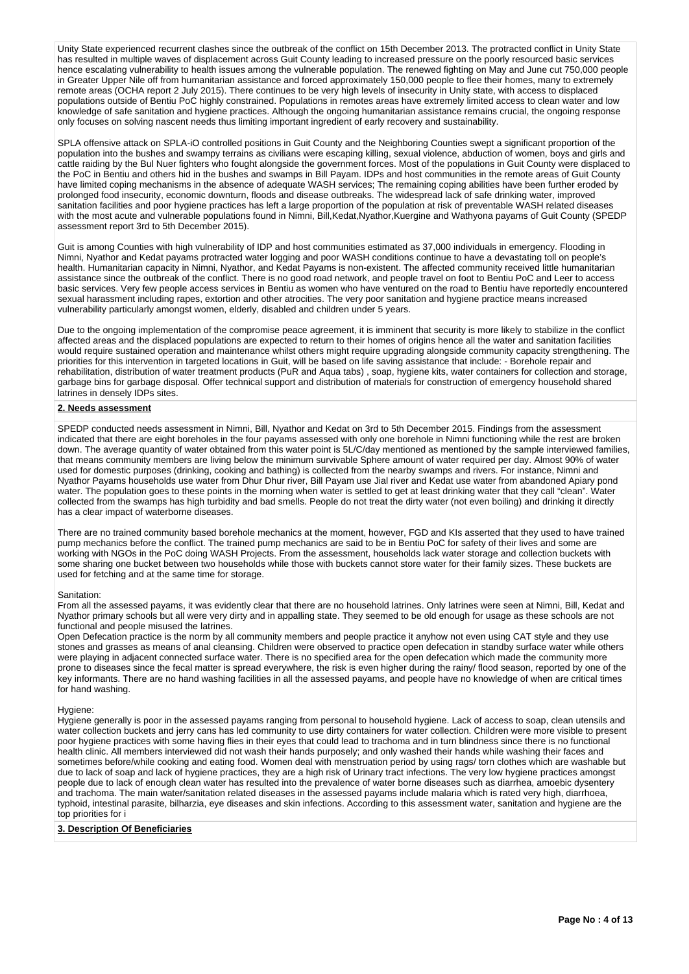Unity State experienced recurrent clashes since the outbreak of the conflict on 15th December 2013. The protracted conflict in Unity State has resulted in multiple waves of displacement across Guit County leading to increased pressure on the poorly resourced basic services hence escalating vulnerability to health issues among the vulnerable population. The renewed fighting on May and June cut 750,000 people in Greater Upper Nile off from humanitarian assistance and forced approximately 150,000 people to flee their homes, many to extremely remote areas (OCHA report 2 July 2015). There continues to be very high levels of insecurity in Unity state, with access to displaced populations outside of Bentiu PoC highly constrained. Populations in remotes areas have extremely limited access to clean water and low knowledge of safe sanitation and hygiene practices. Although the ongoing humanitarian assistance remains crucial, the ongoing response only focuses on solving nascent needs thus limiting important ingredient of early recovery and sustainability.

SPLA offensive attack on SPLA-iO controlled positions in Guit County and the Neighboring Counties swept a significant proportion of the population into the bushes and swampy terrains as civilians were escaping killing, sexual violence, abduction of women, boys and girls and cattle raiding by the Bul Nuer fighters who fought alongside the government forces. Most of the populations in Guit County were displaced to the PoC in Bentiu and others hid in the bushes and swamps in Bill Payam. IDPs and host communities in the remote areas of Guit County have limited coping mechanisms in the absence of adequate WASH services; The remaining coping abilities have been further eroded by prolonged food insecurity, economic downturn, floods and disease outbreaks. The widespread lack of safe drinking water, improved sanitation facilities and poor hygiene practices has left a large proportion of the population at risk of preventable WASH related diseases with the most acute and vulnerable populations found in Nimni, Bill,Kedat,Nyathor,Kuergine and Wathyona payams of Guit County (SPEDP assessment report 3rd to 5th December 2015).

Guit is among Counties with high vulnerability of IDP and host communities estimated as 37,000 individuals in emergency. Flooding in Nimni, Nyathor and Kedat payams protracted water logging and poor WASH conditions continue to have a devastating toll on people's health. Humanitarian capacity in Nimni, Nyathor, and Kedat Payams is non-existent. The affected community received little humanitarian assistance since the outbreak of the conflict. There is no good road network, and people travel on foot to Bentiu PoC and Leer to access basic services. Very few people access services in Bentiu as women who have ventured on the road to Bentiu have reportedly encountered sexual harassment including rapes, extortion and other atrocities. The very poor sanitation and hygiene practice means increased vulnerability particularly amongst women, elderly, disabled and children under 5 years.

Due to the ongoing implementation of the compromise peace agreement, it is imminent that security is more likely to stabilize in the conflict affected areas and the displaced populations are expected to return to their homes of origins hence all the water and sanitation facilities would require sustained operation and maintenance whilst others might require upgrading alongside community capacity strengthening. The priorities for this intervention in targeted locations in Guit, will be based on life saving assistance that include: - Borehole repair and rehabilitation, distribution of water treatment products (PuR and Aqua tabs) , soap, hygiene kits, water containers for collection and storage, garbage bins for garbage disposal. Offer technical support and distribution of materials for construction of emergency household shared latrines in densely IDPs sites.

#### **2. Needs assessment**

SPEDP conducted needs assessment in Nimni, Bill, Nyathor and Kedat on 3rd to 5th December 2015. Findings from the assessment indicated that there are eight boreholes in the four payams assessed with only one borehole in Nimni functioning while the rest are broken down. The average quantity of water obtained from this water point is 5L/C/day mentioned as mentioned by the sample interviewed families, that means community members are living below the minimum survivable Sphere amount of water required per day. Almost 90% of water used for domestic purposes (drinking, cooking and bathing) is collected from the nearby swamps and rivers. For instance, Nimni and Nyathor Payams households use water from Dhur Dhur river, Bill Payam use Jial river and Kedat use water from abandoned Apiary pond water. The population goes to these points in the morning when water is settled to get at least drinking water that they call "clean". Water collected from the swamps has high turbidity and bad smells. People do not treat the dirty water (not even boiling) and drinking it directly has a clear impact of waterborne diseases.

There are no trained community based borehole mechanics at the moment, however, FGD and KIs asserted that they used to have trained pump mechanics before the conflict. The trained pump mechanics are said to be in Bentiu PoC for safety of their lives and some are working with NGOs in the PoC doing WASH Projects. From the assessment, households lack water storage and collection buckets with some sharing one bucket between two households while those with buckets cannot store water for their family sizes. These buckets are used for fetching and at the same time for storage.

#### Sanitation:

From all the assessed payams, it was evidently clear that there are no household latrines. Only latrines were seen at Nimni, Bill, Kedat and Nyathor primary schools but all were very dirty and in appalling state. They seemed to be old enough for usage as these schools are not functional and people misused the latrines.

Open Defecation practice is the norm by all community members and people practice it anyhow not even using CAT style and they use stones and grasses as means of anal cleansing. Children were observed to practice open defecation in standby surface water while others were playing in adjacent connected surface water. There is no specified area for the open defecation which made the community more prone to diseases since the fecal matter is spread everywhere, the risk is even higher during the rainy/ flood season, reported by one of the key informants. There are no hand washing facilities in all the assessed payams, and people have no knowledge of when are critical times for hand washing.

#### Hygiene:

Hygiene generally is poor in the assessed payams ranging from personal to household hygiene. Lack of access to soap, clean utensils and water collection buckets and jerry cans has led community to use dirty containers for water collection. Children were more visible to present poor hygiene practices with some having flies in their eyes that could lead to trachoma and in turn blindness since there is no functional health clinic. All members interviewed did not wash their hands purposely; and only washed their hands while washing their faces and sometimes before/while cooking and eating food. Women deal with menstruation period by using rags/ torn clothes which are washable but due to lack of soap and lack of hygiene practices, they are a high risk of Urinary tract infections. The very low hygiene practices amongst people due to lack of enough clean water has resulted into the prevalence of water borne diseases such as diarrhea, amoebic dysentery and trachoma. The main water/sanitation related diseases in the assessed payams include malaria which is rated very high, diarrhoea, typhoid, intestinal parasite, bilharzia, eye diseases and skin infections. According to this assessment water, sanitation and hygiene are the top priorities for i

## **3. Description Of Beneficiaries**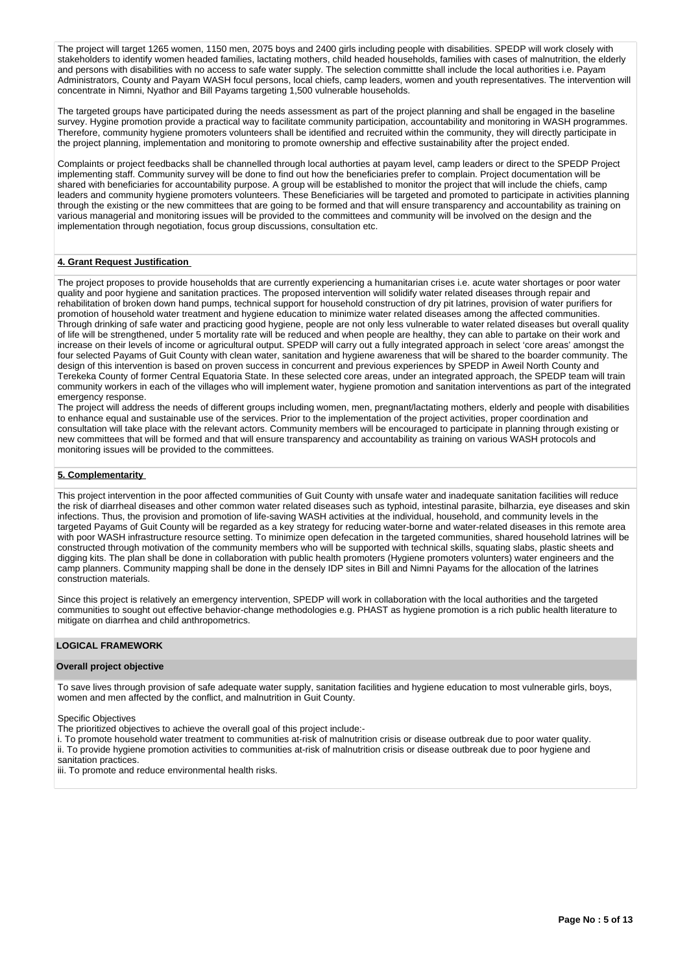The project will target 1265 women, 1150 men, 2075 boys and 2400 girls including people with disabilities. SPEDP will work closely with stakeholders to identify women headed families, lactating mothers, child headed households, families with cases of malnutrition, the elderly and persons with disabilities with no access to safe water supply. The selection committte shall include the local authorities i.e. Payam Administrators, County and Payam WASH focul persons, local chiefs, camp leaders, women and youth representatives. The intervention will concentrate in Nimni, Nyathor and Bill Payams targeting 1,500 vulnerable households.

The targeted groups have participated during the needs assessment as part of the project planning and shall be engaged in the baseline survey. Hygine promotion provide a practical way to facilitate community participation, accountability and monitoring in WASH programmes. Therefore, community hygiene promoters volunteers shall be identified and recruited within the community, they will directly participate in the project planning, implementation and monitoring to promote ownership and effective sustainability after the project ended.

Complaints or project feedbacks shall be channelled through local authorties at payam level, camp leaders or direct to the SPEDP Project implementing staff. Community survey will be done to find out how the beneficiaries prefer to complain. Project documentation will be shared with beneficiaries for accountability purpose. A group will be established to monitor the project that will include the chiefs, camp leaders and community hygiene promoters volunteers. These Beneficiaries will be targeted and promoted to participate in activities planning through the existing or the new committees that are going to be formed and that will ensure transparency and accountability as training on various managerial and monitoring issues will be provided to the committees and community will be involved on the design and the implementation through negotiation, focus group discussions, consultation etc.

#### **4. Grant Request Justification**

The project proposes to provide households that are currently experiencing a humanitarian crises i.e. acute water shortages or poor water quality and poor hygiene and sanitation practices. The proposed intervention will solidify water related diseases through repair and rehabilitation of broken down hand pumps, technical support for household construction of dry pit latrines, provision of water purifiers for promotion of household water treatment and hygiene education to minimize water related diseases among the affected communities. Through drinking of safe water and practicing good hygiene, people are not only less vulnerable to water related diseases but overall quality of life will be strengthened, under 5 mortality rate will be reduced and when people are healthy, they can able to partake on their work and increase on their levels of income or agricultural output. SPEDP will carry out a fully integrated approach in select 'core areas' amongst the four selected Payams of Guit County with clean water, sanitation and hygiene awareness that will be shared to the boarder community. The design of this intervention is based on proven success in concurrent and previous experiences by SPEDP in Aweil North County and Terekeka County of former Central Equatoria State. In these selected core areas, under an integrated approach, the SPEDP team will train community workers in each of the villages who will implement water, hygiene promotion and sanitation interventions as part of the integrated emergency response.

The project will address the needs of different groups including women, men, pregnant/lactating mothers, elderly and people with disabilities to enhance equal and sustainable use of the services. Prior to the implementation of the project activities, proper coordination and consultation will take place with the relevant actors. Community members will be encouraged to participate in planning through existing or new committees that will be formed and that will ensure transparency and accountability as training on various WASH protocols and monitoring issues will be provided to the committees.

## **5. Complementarity**

This project intervention in the poor affected communities of Guit County with unsafe water and inadequate sanitation facilities will reduce the risk of diarrheal diseases and other common water related diseases such as typhoid, intestinal parasite, bilharzia, eye diseases and skin infections. Thus, the provision and promotion of life-saving WASH activities at the individual, household, and community levels in the targeted Payams of Guit County will be regarded as a key strategy for reducing water-borne and water-related diseases in this remote area with poor WASH infrastructure resource setting. To minimize open defecation in the targeted communities, shared household latrines will be constructed through motivation of the community members who will be supported with technical skills, squating slabs, plastic sheets and digging kits. The plan shall be done in collaboration with public health promoters (Hygiene promoters volunters) water engineers and the camp planners. Community mapping shall be done in the densely IDP sites in Bill and Nimni Payams for the allocation of the latrines construction materials.

Since this project is relatively an emergency intervention, SPEDP will work in collaboration with the local authorities and the targeted communities to sought out effective behavior-change methodologies e.g. PHAST as hygiene promotion is a rich public health literature to mitigate on diarrhea and child anthropometrics.

#### **LOGICAL FRAMEWORK**

#### **Overall project objective**

To save lives through provision of safe adequate water supply, sanitation facilities and hygiene education to most vulnerable girls, boys, women and men affected by the conflict, and malnutrition in Guit County.

Specific Objectives

The prioritized objectives to achieve the overall goal of this project include:-

i. To promote household water treatment to communities at-risk of malnutrition crisis or disease outbreak due to poor water quality. ii. To provide hygiene promotion activities to communities at-risk of malnutrition crisis or disease outbreak due to poor hygiene and sanitation practices.

iii. To promote and reduce environmental health risks.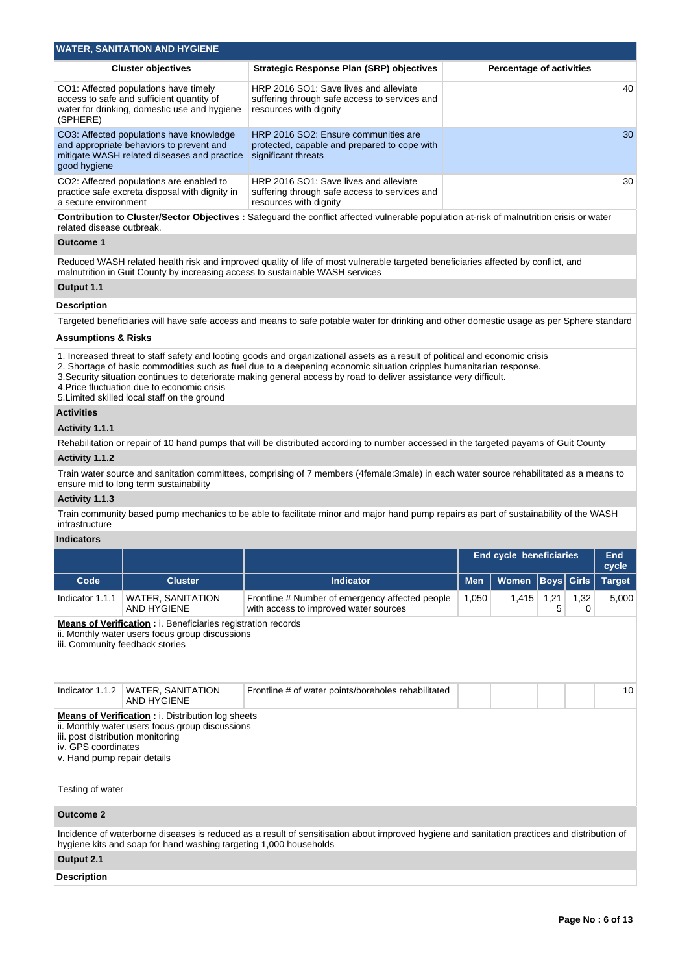| <b>WATER, SANITATION AND HYGIENE</b>                                                                                                                |                                                                                                                   |                                 |  |  |  |  |  |  |  |  |  |  |
|-----------------------------------------------------------------------------------------------------------------------------------------------------|-------------------------------------------------------------------------------------------------------------------|---------------------------------|--|--|--|--|--|--|--|--|--|--|
| <b>Cluster objectives</b>                                                                                                                           | <b>Strategic Response Plan (SRP) objectives</b>                                                                   | <b>Percentage of activities</b> |  |  |  |  |  |  |  |  |  |  |
| CO1: Affected populations have timely<br>access to safe and sufficient quantity of<br>water for drinking, domestic use and hygiene<br>(SPHERE)      | HRP 2016 SO1: Save lives and alleviate<br>suffering through safe access to services and<br>resources with dignity | 40                              |  |  |  |  |  |  |  |  |  |  |
| CO3: Affected populations have knowledge<br>and appropriate behaviors to prevent and<br>mitigate WASH related diseases and practice<br>good hygiene | HRP 2016 SO2: Ensure communities are<br>protected, capable and prepared to cope with<br>significant threats       | 30                              |  |  |  |  |  |  |  |  |  |  |
| CO2: Affected populations are enabled to<br>practice safe excreta disposal with dignity in<br>a secure environment                                  | HRP 2016 SO1: Save lives and alleviate<br>suffering through safe access to services and<br>resources with dignity | 30                              |  |  |  |  |  |  |  |  |  |  |
| <b>Contribution to Cluster/Sector Objectives:</b> Safeguard the conflict affected vulnerable population at-risk of malnutrition crisis or water     |                                                                                                                   |                                 |  |  |  |  |  |  |  |  |  |  |

related disease outbreak.

## **Outcome 1**

Reduced WASH related health risk and improved quality of life of most vulnerable targeted beneficiaries affected by conflict, and malnutrition in Guit County by increasing access to sustainable WASH services

# **Output 1.1**

## **Description**

Targeted beneficiaries will have safe access and means to safe potable water for drinking and other domestic usage as per Sphere standard

## **Assumptions & Risks**

1. Increased threat to staff safety and looting goods and organizational assets as a result of political and economic crisis

2. Shortage of basic commodities such as fuel due to a deepening economic situation cripples humanitarian response.

3.Security situation continues to deteriorate making general access by road to deliver assistance very difficult.

4.Price fluctuation due to economic crisis

5.Limited skilled local staff on the ground

## **Activities**

## **Activity 1.1.1**

Rehabilitation or repair of 10 hand pumps that will be distributed according to number accessed in the targeted payams of Guit County

### **Activity 1.1.2**

Train water source and sanitation committees, comprising of 7 members (4female:3male) in each water source rehabilitated as a means to ensure mid to long term sustainability

### **Activity 1.1.3**

Train community based pump mechanics to be able to facilitate minor and major hand pump repairs as part of sustainability of the WASH infrastructure

## **Indicators**

|                                                                                         |                                                                                                                                                           |                                                                                                                                              |            | <b>End cycle beneficiaries</b> |                      |           | End<br>cycle  |  |  |  |  |  |
|-----------------------------------------------------------------------------------------|-----------------------------------------------------------------------------------------------------------------------------------------------------------|----------------------------------------------------------------------------------------------------------------------------------------------|------------|--------------------------------|----------------------|-----------|---------------|--|--|--|--|--|
| Code                                                                                    | <b>Cluster</b>                                                                                                                                            | <b>Indicator</b>                                                                                                                             | <b>Men</b> | <b>Women</b>                   | $\vert$ Boys $\vert$ | Girls     | <b>Target</b> |  |  |  |  |  |
| Indicator 1.1.1                                                                         | <b>WATER, SANITATION</b><br><b>AND HYGIENE</b>                                                                                                            | Frontline # Number of emergency affected people<br>with access to improved water sources                                                     | 1,050      | 1,415                          | 1,21<br>5            | 1,32<br>0 | 5,000         |  |  |  |  |  |
|                                                                                         | <b>Means of Verification:</b> i. Beneficiaries registration records<br>ii. Monthly water users focus group discussions<br>iii. Community feedback stories |                                                                                                                                              |            |                                |                      |           |               |  |  |  |  |  |
| Indicator 1.1.2                                                                         | <b>WATER, SANITATION</b><br><b>AND HYGIENE</b>                                                                                                            | Frontline # of water points/boreholes rehabilitated                                                                                          |            |                                |                      |           | 10            |  |  |  |  |  |
| iii. post distribution monitoring<br>iv. GPS coordinates<br>v. Hand pump repair details | <b>Means of Verification : i. Distribution log sheets</b><br>ii. Monthly water users focus group discussions                                              |                                                                                                                                              |            |                                |                      |           |               |  |  |  |  |  |
| Testing of water                                                                        |                                                                                                                                                           |                                                                                                                                              |            |                                |                      |           |               |  |  |  |  |  |
| <b>Outcome 2</b>                                                                        |                                                                                                                                                           |                                                                                                                                              |            |                                |                      |           |               |  |  |  |  |  |
|                                                                                         | hygiene kits and soap for hand washing targeting 1,000 households                                                                                         | Incidence of waterborne diseases is reduced as a result of sensitisation about improved hygiene and sanitation practices and distribution of |            |                                |                      |           |               |  |  |  |  |  |
| Output 2.1                                                                              |                                                                                                                                                           |                                                                                                                                              |            |                                |                      |           |               |  |  |  |  |  |
| <b>Description</b>                                                                      |                                                                                                                                                           |                                                                                                                                              |            |                                |                      |           |               |  |  |  |  |  |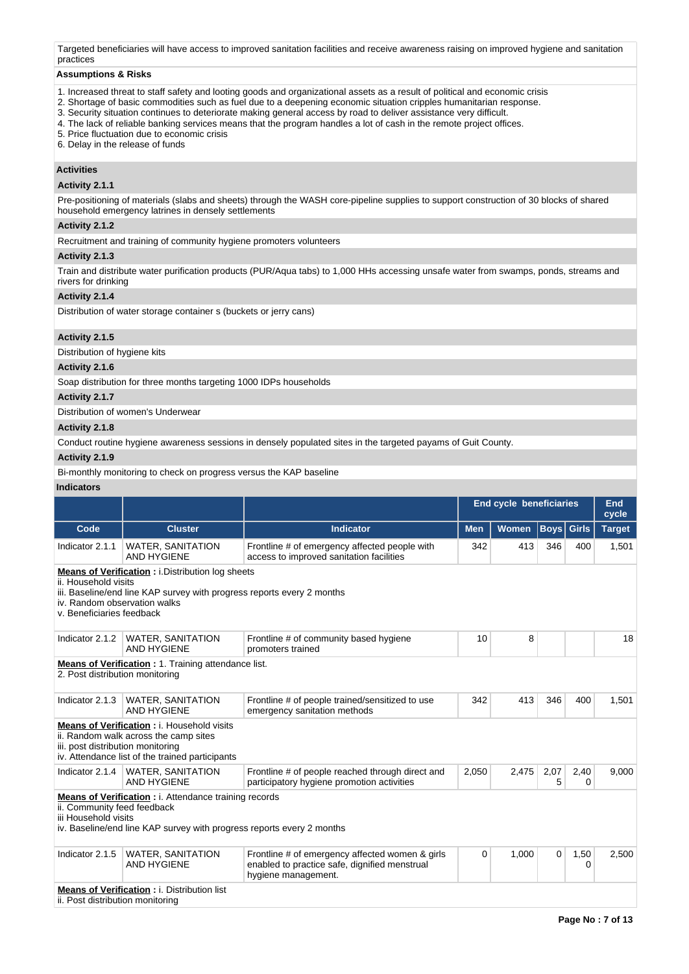Targeted beneficiaries will have access to improved sanitation facilities and receive awareness raising on improved hygiene and sanitation practices

#### **Assumptions & Risks**

- 1. Increased threat to staff safety and looting goods and organizational assets as a result of political and economic crisis
- 2. Shortage of basic commodities such as fuel due to a deepening economic situation cripples humanitarian response.
- 3. Security situation continues to deteriorate making general access by road to deliver assistance very difficult.
- 4. The lack of reliable banking services means that the program handles a lot of cash in the remote project offices.

5. Price fluctuation due to economic crisis

6. Delay in the release of funds

#### **Activities**

## **Activity 2.1.1**

Pre-positioning of materials (slabs and sheets) through the WASH core-pipeline supplies to support construction of 30 blocks of shared household emergency latrines in densely settlements

## **Activity 2.1.2**

Recruitment and training of community hygiene promoters volunteers

#### **Activity 2.1.3**

Train and distribute water purification products (PUR/Aqua tabs) to 1,000 HHs accessing unsafe water from swamps, ponds, streams and rivers for drinking

## **Activity 2.1.4**

Distribution of water storage container s (buckets or jerry cans)

### **Activity 2.1.5**

Distribution of hygiene kits

## **Activity 2.1.6**

Soap distribution for three months targeting 1000 IDPs households

#### **Activity 2.1.7**

Distribution of women's Underwear

### **Activity 2.1.8**

Conduct routine hygiene awareness sessions in densely populated sites in the targeted payams of Guit County.

## **Activity 2.1.9**

Bi-monthly monitoring to check on progress versus the KAP baseline

## **Indicators**

|                                                                                                                                                                                                                        |                                                                                                                                               |                                                                                                                         | <b>End cycle beneficiaries</b>         |                             |           | End<br>cycle |               |  |  |  |
|------------------------------------------------------------------------------------------------------------------------------------------------------------------------------------------------------------------------|-----------------------------------------------------------------------------------------------------------------------------------------------|-------------------------------------------------------------------------------------------------------------------------|----------------------------------------|-----------------------------|-----------|--------------|---------------|--|--|--|
| Code                                                                                                                                                                                                                   | <b>Cluster</b>                                                                                                                                | <b>Indicator</b>                                                                                                        | <b>Men</b>                             | <b>Women</b><br><b>Boys</b> |           | <b>Girls</b> | <b>Target</b> |  |  |  |
| Indicator 2.1.1                                                                                                                                                                                                        | <b>WATER, SANITATION</b><br><b>AND HYGIENE</b>                                                                                                | Frontline # of emergency affected people with<br>access to improved sanitation facilities                               | 342                                    | 413                         | 346       | 400          | 1,501         |  |  |  |
| <b>Means of Verification:</b> i.Distribution log sheets<br>ii. Household visits<br>iii. Baseline/end line KAP survey with progress reports every 2 months<br>iv. Random observation walks<br>v. Beneficiaries feedback |                                                                                                                                               |                                                                                                                         |                                        |                             |           |              |               |  |  |  |
| Indicator 2.1.2                                                                                                                                                                                                        | <b>WATER, SANITATION</b><br><b>AND HYGIENE</b>                                                                                                | Frontline # of community based hygiene<br>promoters trained                                                             | 10                                     | 8                           |           |              | 18            |  |  |  |
| 2. Post distribution monitoring                                                                                                                                                                                        | <b>Means of Verification: 1. Training attendance list.</b>                                                                                    |                                                                                                                         |                                        |                             |           |              |               |  |  |  |
| Indicator 2.1.3                                                                                                                                                                                                        | <b>WATER, SANITATION</b><br>AND HYGIENE                                                                                                       | Frontline # of people trained/sensitized to use<br>emergency sanitation methods                                         | 342                                    | 413                         | 346       | 400          | 1,501         |  |  |  |
| iii. post distribution monitoring                                                                                                                                                                                      | <b>Means of Verification: i. Household visits</b><br>ii. Random walk across the camp sites<br>iv. Attendance list of the trained participants |                                                                                                                         |                                        |                             |           |              |               |  |  |  |
|                                                                                                                                                                                                                        | Indicator 2.1.4   WATER, SANITATION<br><b>AND HYGIENE</b>                                                                                     | Frontline # of people reached through direct and<br>participatory hygiene promotion activities                          | 2,050                                  | 2,475                       | 2,07<br>5 | 2,40<br>0    | 9,000         |  |  |  |
| ii. Community feed feedback<br>iii Household visits                                                                                                                                                                    | <b>Means of Verification</b> : i. Attendance training records<br>iv. Baseline/end line KAP survey with progress reports every 2 months        |                                                                                                                         |                                        |                             |           |              |               |  |  |  |
| Indicator 2.1.5                                                                                                                                                                                                        | <b>WATER, SANITATION</b><br><b>AND HYGIENE</b>                                                                                                | Frontline # of emergency affected women & girls<br>enabled to practice safe, dignified menstrual<br>hygiene management. | 1,000<br>0<br>$\mathbf 0$<br>1,50<br>0 |                             |           |              |               |  |  |  |
| ii. Post distribution monitoring                                                                                                                                                                                       | <b>Means of Verification: i. Distribution list</b>                                                                                            |                                                                                                                         |                                        |                             |           |              |               |  |  |  |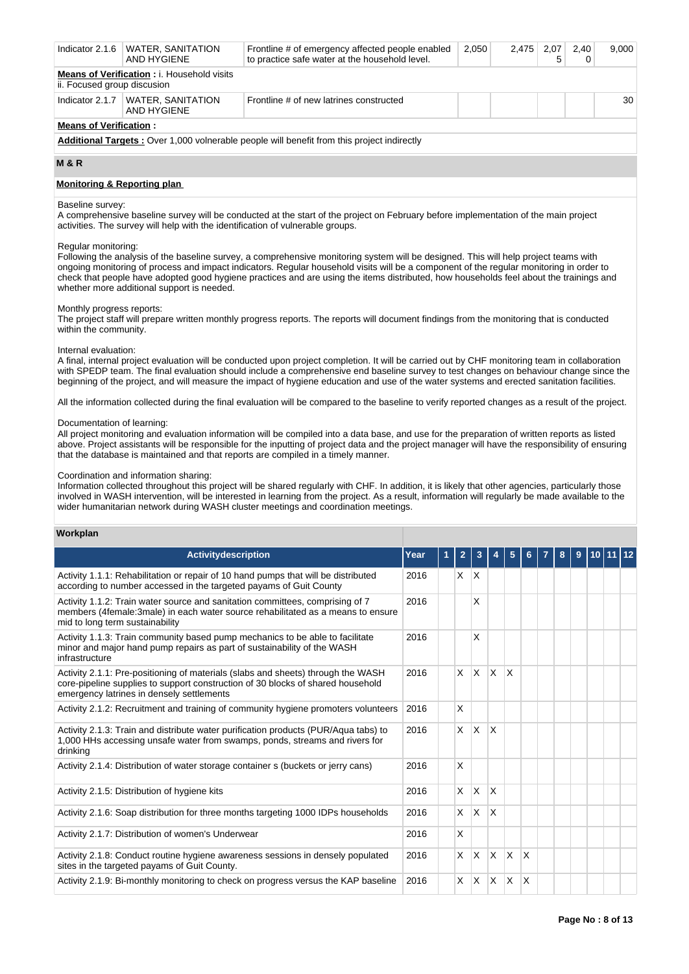| Indicator 2.1.6                                                                                   | <b>WATER, SANITATION</b><br>AND HYGIENE | Frontline # of emergency affected people enabled<br>to practice safe water at the household level. | 2,050 | 2,475 | 2,07<br>5 | 2.40 | 9.000 |  |  |  |  |
|---------------------------------------------------------------------------------------------------|-----------------------------------------|----------------------------------------------------------------------------------------------------|-------|-------|-----------|------|-------|--|--|--|--|
| <b>Means of Verification: i. Household visits</b><br>ii. Focused group discusion                  |                                         |                                                                                                    |       |       |           |      |       |  |  |  |  |
| Indicator 2.1.7                                                                                   | WATER, SANITATION<br>AND HYGIENE        | Frontline # of new latrines constructed                                                            |       |       |           |      | 30    |  |  |  |  |
| <b>Means of Verification:</b>                                                                     |                                         |                                                                                                    |       |       |           |      |       |  |  |  |  |
| <b>Additional Targets:</b> Over 1,000 volnerable people will benefit from this project indirectly |                                         |                                                                                                    |       |       |           |      |       |  |  |  |  |

**M & R**

### **Monitoring & Reporting plan**

#### Baseline survey:

A comprehensive baseline survey will be conducted at the start of the project on February before implementation of the main project activities. The survey will help with the identification of vulnerable groups.

#### Regular monitoring:

Following the analysis of the baseline survey, a comprehensive monitoring system will be designed. This will help project teams with ongoing monitoring of process and impact indicators. Regular household visits will be a component of the regular monitoring in order to check that people have adopted good hygiene practices and are using the items distributed, how households feel about the trainings and whether more additional support is needed.

#### Monthly progress reports:

The project staff will prepare written monthly progress reports. The reports will document findings from the monitoring that is conducted within the community.

#### Internal evaluation:

A final, internal project evaluation will be conducted upon project completion. It will be carried out by CHF monitoring team in collaboration with SPEDP team. The final evaluation should include a comprehensive end baseline survey to test changes on behaviour change since the beginning of the project, and will measure the impact of hygiene education and use of the water systems and erected sanitation facilities.

All the information collected during the final evaluation will be compared to the baseline to verify reported changes as a result of the project.

#### Documentation of learning:

All project monitoring and evaluation information will be compiled into a data base, and use for the preparation of written reports as listed above. Project assistants will be responsible for the inputting of project data and the project manager will have the responsibility of ensuring that the database is maintained and that reports are compiled in a timely manner.

#### Coordination and information sharing:

Information collected throughout this project will be shared regularly with CHF. In addition, it is likely that other agencies, particularly those involved in WASH intervention, will be interested in learning from the project. As a result, information will regularly be made available to the wider humanitarian network during WASH cluster meetings and coordination meetings.

#### **Workplan**

| Activitydescription                                                                                                                                                                                              | Year |  | 2        | 3               |              | 5            |              |  | 8 | 9 | 10 |  |  |  |  |  |  |  |
|------------------------------------------------------------------------------------------------------------------------------------------------------------------------------------------------------------------|------|--|----------|-----------------|--------------|--------------|--------------|--|---|---|----|--|--|--|--|--|--|--|
| Activity 1.1.1: Rehabilitation or repair of 10 hand pumps that will be distributed<br>according to number accessed in the targeted payams of Guit County                                                         | 2016 |  | X.       | $\mathsf{\chi}$ |              |              |              |  |   |   |    |  |  |  |  |  |  |  |
| Activity 1.1.2: Train water source and sanitation committees, comprising of 7<br>members (4female:3male) in each water source rehabilitated as a means to ensure<br>mid to long term sustainability              | 2016 |  |          | X               |              |              |              |  |   |   |    |  |  |  |  |  |  |  |
| Activity 1.1.3: Train community based pump mechanics to be able to facilitate<br>minor and major hand pump repairs as part of sustainability of the WASH<br>infrastructure                                       | 2016 |  |          | X               |              |              |              |  |   |   |    |  |  |  |  |  |  |  |
| Activity 2.1.1: Pre-positioning of materials (slabs and sheets) through the WASH<br>core-pipeline supplies to support construction of 30 blocks of shared household<br>emergency latrines in densely settlements | 2016 |  | $\times$ | <b>X</b>        | $\bar{X}$    | X            |              |  |   |   |    |  |  |  |  |  |  |  |
| Activity 2.1.2: Recruitment and training of community hygiene promoters volunteers                                                                                                                               | 2016 |  | X        |                 |              |              |              |  |   |   |    |  |  |  |  |  |  |  |
| Activity 2.1.3: Train and distribute water purification products (PUR/Aqua tabs) to<br>1,000 HHs accessing unsafe water from swamps, ponds, streams and rivers for<br>drinkina                                   | 2016 |  | $\times$ | <b>X</b>        | <sup>X</sup> |              |              |  |   |   |    |  |  |  |  |  |  |  |
| Activity 2.1.4: Distribution of water storage container s (buckets or jerry cans)                                                                                                                                | 2016 |  | X        |                 |              |              |              |  |   |   |    |  |  |  |  |  |  |  |
| Activity 2.1.5: Distribution of hygiene kits                                                                                                                                                                     | 2016 |  | $\times$ | $\mathsf{X}$    | X            |              |              |  |   |   |    |  |  |  |  |  |  |  |
| Activity 2.1.6: Soap distribution for three months targeting 1000 IDPs households                                                                                                                                | 2016 |  | X.       | <b>X</b>        | X            |              |              |  |   |   |    |  |  |  |  |  |  |  |
| Activity 2.1.7: Distribution of women's Underwear                                                                                                                                                                | 2016 |  | X        |                 |              |              |              |  |   |   |    |  |  |  |  |  |  |  |
| Activity 2.1.8: Conduct routine hygiene awareness sessions in densely populated<br>sites in the targeted payams of Guit County.                                                                                  | 2016 |  | X.       | <b>X</b>        | $\mathsf{X}$ | $\mathsf{x}$ | $\mathsf{x}$ |  |   |   |    |  |  |  |  |  |  |  |
| Activity 2.1.9: Bi-monthly monitoring to check on progress versus the KAP baseline                                                                                                                               | 2016 |  | X.       | $\mathsf{X}$    | ΙX.          | X.           | X            |  |   |   |    |  |  |  |  |  |  |  |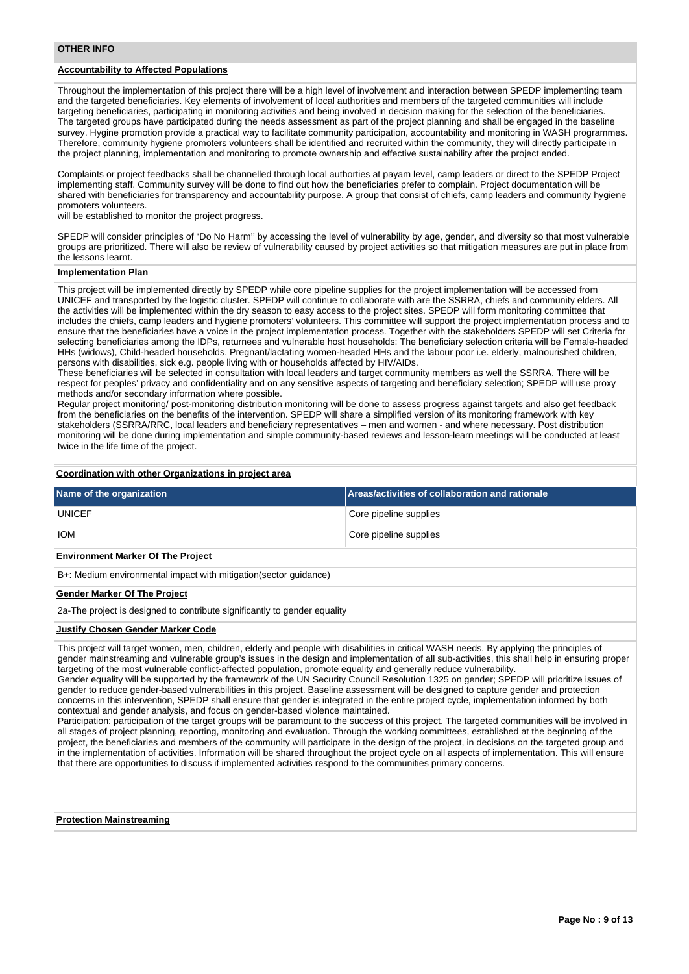## **Accountability to Affected Populations**

Throughout the implementation of this project there will be a high level of involvement and interaction between SPEDP implementing team and the targeted beneficiaries. Key elements of involvement of local authorities and members of the targeted communities will include targeting beneficiaries, participating in monitoring activities and being involved in decision making for the selection of the beneficiaries. The targeted groups have participated during the needs assessment as part of the project planning and shall be engaged in the baseline survey. Hygine promotion provide a practical way to facilitate community participation, accountability and monitoring in WASH programmes. Therefore, community hygiene promoters volunteers shall be identified and recruited within the community, they will directly participate in the project planning, implementation and monitoring to promote ownership and effective sustainability after the project ended.

Complaints or project feedbacks shall be channelled through local authorties at payam level, camp leaders or direct to the SPEDP Project implementing staff. Community survey will be done to find out how the beneficiaries prefer to complain. Project documentation will be shared with beneficiaries for transparency and accountability purpose. A group that consist of chiefs, camp leaders and community hygiene promoters volunteers.

will be established to monitor the project progress.

SPEDP will consider principles of "Do No Harm'' by accessing the level of vulnerability by age, gender, and diversity so that most vulnerable groups are prioritized. There will also be review of vulnerability caused by project activities so that mitigation measures are put in place from the lessons learnt.

#### **Implementation Plan**

This project will be implemented directly by SPEDP while core pipeline supplies for the project implementation will be accessed from UNICEF and transported by the logistic cluster. SPEDP will continue to collaborate with are the SSRRA, chiefs and community elders. All the activities will be implemented within the dry season to easy access to the project sites. SPEDP will form monitoring committee that includes the chiefs, camp leaders and hygiene promoters' volunteers. This committee will support the project implementation process and to ensure that the beneficiaries have a voice in the project implementation process. Together with the stakeholders SPEDP will set Criteria for selecting beneficiaries among the IDPs, returnees and vulnerable host households: The beneficiary selection criteria will be Female-headed HHs (widows), Child-headed households, Pregnant/lactating women-headed HHs and the labour poor i.e. elderly, malnourished children, persons with disabilities, sick e.g. people living with or households affected by HIV/AIDs.

These beneficiaries will be selected in consultation with local leaders and target community members as well the SSRRA. There will be respect for peoples' privacy and confidentiality and on any sensitive aspects of targeting and beneficiary selection; SPEDP will use proxy methods and/or secondary information where possible.

Regular project monitoring/ post-monitoring distribution monitoring will be done to assess progress against targets and also get feedback from the beneficiaries on the benefits of the intervention. SPEDP will share a simplified version of its monitoring framework with key stakeholders (SSRRA/RRC, local leaders and beneficiary representatives – men and women - and where necessary. Post distribution monitoring will be done during implementation and simple community-based reviews and lesson-learn meetings will be conducted at least twice in the life time of the project.

#### **Coordination with other Organizations in project area**

| Name of the organization | Areas/activities of collaboration and rationale |
|--------------------------|-------------------------------------------------|
| <b>UNICEF</b>            | Core pipeline supplies                          |
| <b>IOM</b>               | Core pipeline supplies                          |
|                          |                                                 |

#### **Environment Marker Of The Project**

B+: Medium environmental impact with mitigation(sector guidance)

#### **Gender Marker Of The Project**

2a-The project is designed to contribute significantly to gender equality

#### **Justify Chosen Gender Marker Code**

This project will target women, men, children, elderly and people with disabilities in critical WASH needs. By applying the principles of gender mainstreaming and vulnerable group's issues in the design and implementation of all sub-activities, this shall help in ensuring proper targeting of the most vulnerable conflict-affected population, promote equality and generally reduce vulnerability.

Gender equality will be supported by the framework of the UN Security Council Resolution 1325 on gender; SPEDP will prioritize issues of gender to reduce gender-based vulnerabilities in this project. Baseline assessment will be designed to capture gender and protection concerns in this intervention, SPEDP shall ensure that gender is integrated in the entire project cycle, implementation informed by both contextual and gender analysis, and focus on gender-based violence maintained.

Participation: participation of the target groups will be paramount to the success of this project. The targeted communities will be involved in all stages of project planning, reporting, monitoring and evaluation. Through the working committees, established at the beginning of the project, the beneficiaries and members of the community will participate in the design of the project, in decisions on the targeted group and in the implementation of activities. Information will be shared throughout the project cycle on all aspects of implementation. This will ensure that there are opportunities to discuss if implemented activities respond to the communities primary concerns.

#### **Protection Mainstreaming**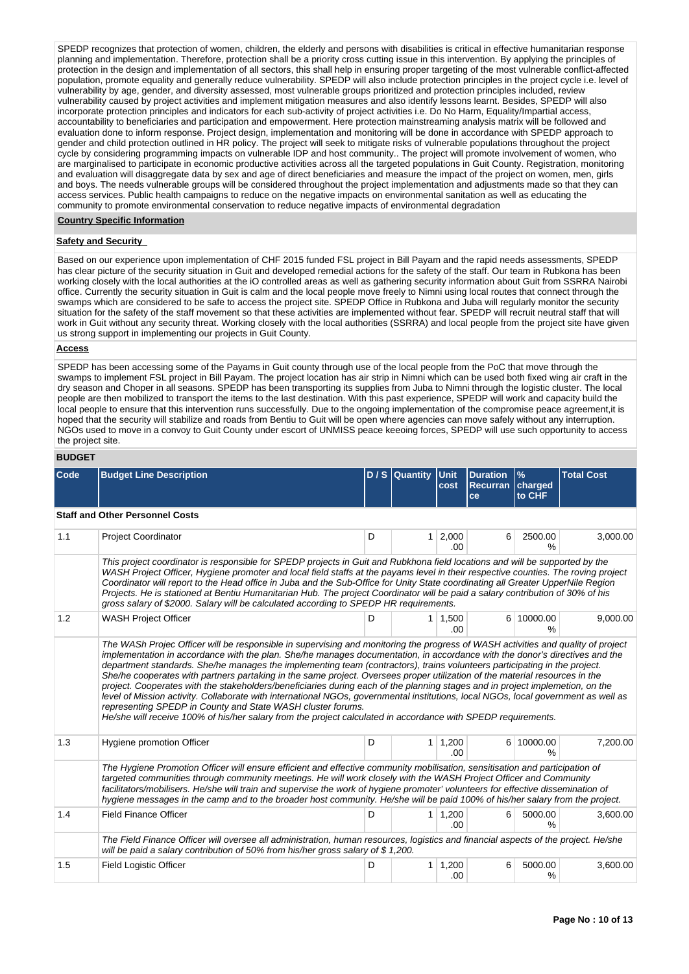SPEDP recognizes that protection of women, children, the elderly and persons with disabilities is critical in effective humanitarian response planning and implementation. Therefore, protection shall be a priority cross cutting issue in this intervention. By applying the principles of protection in the design and implementation of all sectors, this shall help in ensuring proper targeting of the most vulnerable conflict-affected population, promote equality and generally reduce vulnerability. SPEDP will also include protection principles in the project cycle i.e. level of vulnerability by age, gender, and diversity assessed, most vulnerable groups prioritized and protection principles included, review vulnerability caused by project activities and implement mitigation measures and also identify lessons learnt. Besides, SPEDP will also incorporate protection principles and indicators for each sub-activity of project activities i.e. Do No Harm, Equality/Impartial access, accountability to beneficiaries and participation and empowerment. Here protection mainstreaming analysis matrix will be followed and evaluation done to inform response. Project design, implementation and monitoring will be done in accordance with SPEDP approach to gender and child protection outlined in HR policy. The project will seek to mitigate risks of vulnerable populations throughout the project cycle by considering programming impacts on vulnerable IDP and host community.. The project will promote involvement of women, who are marginalised to participate in economic productive activities across all the targeted populations in Guit County. Registration, monitoring and evaluation will disaggregate data by sex and age of direct beneficiaries and measure the impact of the project on women, men, girls and boys. The needs vulnerable groups will be considered throughout the project implementation and adjustments made so that they can access services. Public health campaigns to reduce on the negative impacts on environmental sanitation as well as educating the community to promote environmental conservation to reduce negative impacts of environmental degradation

#### **Country Specific Information**

## **Safety and Security**

Based on our experience upon implementation of CHF 2015 funded FSL project in Bill Payam and the rapid needs assessments, SPEDP has clear picture of the security situation in Guit and developed remedial actions for the safety of the staff. Our team in Rubkona has been working closely with the local authorities at the iO controlled areas as well as gathering security information about Guit from SSRRA Nairobi office. Currently the security situation in Guit is calm and the local people move freely to Nimni using local routes that connect through the swamps which are considered to be safe to access the project site. SPEDP Office in Rubkona and Juba will regularly monitor the security situation for the safety of the staff movement so that these activities are implemented without fear. SPEDP will recruit neutral staff that will work in Guit without any security threat. Working closely with the local authorities (SSRRA) and local people from the project site have given us strong support in implementing our projects in Guit County.

### **Access**

SPEDP has been accessing some of the Payams in Guit county through use of the local people from the PoC that move through the swamps to implement FSL project in Bill Payam. The project location has air strip in Nimni which can be used both fixed wing air craft in the dry season and Choper in all seasons. SPEDP has been transporting its supplies from Juba to Nimni through the logistic cluster. The local people are then mobilized to transport the items to the last destination. With this past experience, SPEDP will work and capacity build the local people to ensure that this intervention runs successfully. Due to the ongoing implementation of the compromise peace agreement,it is hoped that the security will stabilize and roads from Bentiu to Guit will be open where agencies can move safely without any interruption. NGOs used to move in a convoy to Guit County under escort of UNMISS peace keeoing forces, SPEDP will use such opportunity to access the project site.

#### **BUDGET**

| Code | <b>Budget Line Description</b>                                                                                                                                                                                                                                                                                                                                                                                                                                                                                                                                                                                                                                                                                                                                                                                                                                                                                                                                                     |   | D / S Quantity | <b>Unit</b><br>cost   | <b>Duration</b><br><b>Recurran</b><br>ce | $\frac{9}{6}$<br>charged<br>to CHF | <b>Total Cost</b> |  |  |  |  |
|------|------------------------------------------------------------------------------------------------------------------------------------------------------------------------------------------------------------------------------------------------------------------------------------------------------------------------------------------------------------------------------------------------------------------------------------------------------------------------------------------------------------------------------------------------------------------------------------------------------------------------------------------------------------------------------------------------------------------------------------------------------------------------------------------------------------------------------------------------------------------------------------------------------------------------------------------------------------------------------------|---|----------------|-----------------------|------------------------------------------|------------------------------------|-------------------|--|--|--|--|
|      | <b>Staff and Other Personnel Costs</b>                                                                                                                                                                                                                                                                                                                                                                                                                                                                                                                                                                                                                                                                                                                                                                                                                                                                                                                                             |   |                |                       |                                          |                                    |                   |  |  |  |  |
| 1.1  | Project Coordinator                                                                                                                                                                                                                                                                                                                                                                                                                                                                                                                                                                                                                                                                                                                                                                                                                                                                                                                                                                | D | 1 <sup>1</sup> | 2,000<br>.00          | 6                                        | 2500.00<br>$\frac{0}{0}$           | 3,000.00          |  |  |  |  |
|      | This project coordinator is responsible for SPEDP projects in Guit and Rubkhona field locations and will be supported by the<br>WASH Project Officer, Hygiene promoter and local field staffs at the payams level in their respective counties. The roving project<br>Coordinator will report to the Head office in Juba and the Sub-Office for Unity State coordinating all Greater UpperNile Region<br>Projects. He is stationed at Bentiu Humanitarian Hub. The project Coordinator will be paid a salary contribution of 30% of his<br>gross salary of \$2000. Salary will be calculated according to SPEDP HR requirements.                                                                                                                                                                                                                                                                                                                                                   |   |                |                       |                                          |                                    |                   |  |  |  |  |
| 1.2  | <b>WASH Project Officer</b>                                                                                                                                                                                                                                                                                                                                                                                                                                                                                                                                                                                                                                                                                                                                                                                                                                                                                                                                                        | D |                | $1 \mid 1,500$<br>.00 |                                          | 6 10000.00<br>$\%$                 | 9,000.00          |  |  |  |  |
|      | The WASh Projec Officer will be responsible in supervising and monitoring the progress of WASH activities and quality of project<br>implementation in accordance with the plan. She/he manages documentation, in accordance with the donor's directives and the<br>department standards. She/he manages the implementing team (contractors), trains volunteers participating in the project.<br>She/he cooperates with partners partaking in the same project. Oversees proper utilization of the material resources in the<br>project. Cooperates with the stakeholders/beneficiaries during each of the planning stages and in project implemetion, on the<br>level of Mission activity. Collaborate with international NGOs, governmental institutions, local NGOs, local government as well as<br>representing SPEDP in County and State WASH cluster forums.<br>He/she will receive 100% of his/her salary from the project calculated in accordance with SPEDP requirements. |   |                |                       |                                          |                                    |                   |  |  |  |  |
| 1.3  | Hygiene promotion Officer                                                                                                                                                                                                                                                                                                                                                                                                                                                                                                                                                                                                                                                                                                                                                                                                                                                                                                                                                          | D |                | $1 \mid 1,200$<br>.00 |                                          | 6 10000.00<br>$\frac{9}{6}$        | 7,200.00          |  |  |  |  |
|      | The Hygiene Promotion Officer will ensure efficient and effective community mobilisation, sensitisation and participation of<br>targeted communities through community meetings. He will work closely with the WASH Project Officer and Community<br>facilitators/mobilisers. He/she will train and supervise the work of hygiene promoter' volunteers for effective dissemination of<br>hygiene messages in the camp and to the broader host community. He/she will be paid 100% of his/her salary from the project.                                                                                                                                                                                                                                                                                                                                                                                                                                                              |   |                |                       |                                          |                                    |                   |  |  |  |  |
| 1.4  | <b>Field Finance Officer</b>                                                                                                                                                                                                                                                                                                                                                                                                                                                                                                                                                                                                                                                                                                                                                                                                                                                                                                                                                       | D | $\mathbf{1}$   | 1,200<br>.00          | 6                                        | 5000.00<br>$\frac{9}{6}$           | 3,600.00          |  |  |  |  |
|      | The Field Finance Officer will oversee all administration, human resources, logistics and financial aspects of the project. He/she<br>will be paid a salary contribution of 50% from his/her gross salary of $$1,200$ .                                                                                                                                                                                                                                                                                                                                                                                                                                                                                                                                                                                                                                                                                                                                                            |   |                |                       |                                          |                                    |                   |  |  |  |  |
| 1.5  | <b>Field Logistic Officer</b>                                                                                                                                                                                                                                                                                                                                                                                                                                                                                                                                                                                                                                                                                                                                                                                                                                                                                                                                                      | D | $\mathbf{1}$   | 1,200<br>.00          | 6                                        | 5000.00<br>%                       | 3,600.00          |  |  |  |  |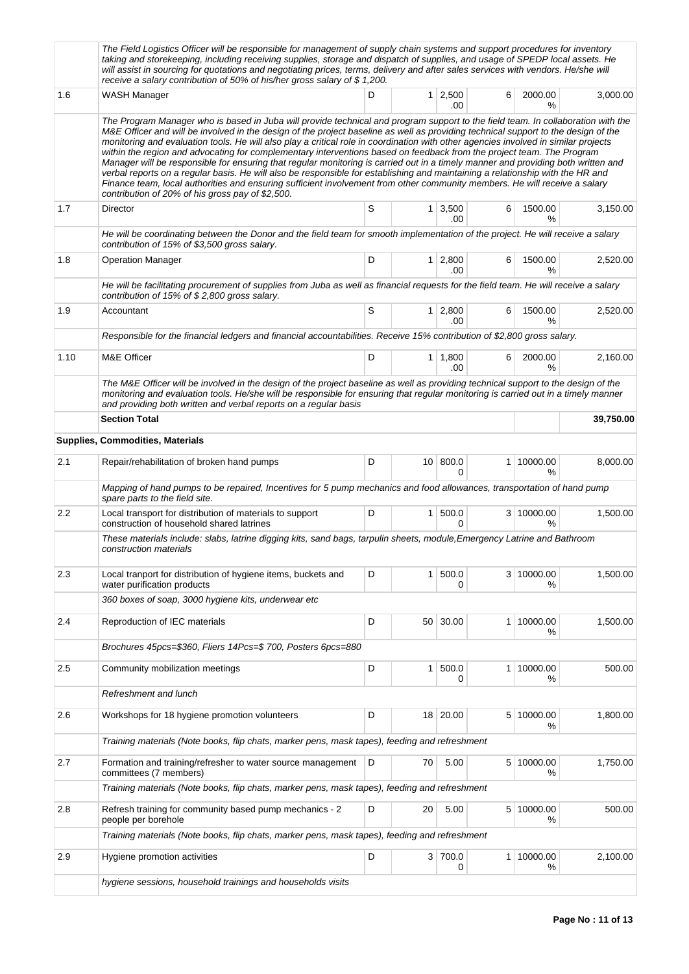|      | The Field Logistics Officer will be responsible for management of supply chain systems and support procedures for inventory<br>taking and storekeeping, including receiving supplies, storage and dispatch of supplies, and usage of SPEDP local assets. He<br>will assist in sourcing for quotations and negotiating prices, terms, delivery and after sales services with vendors. He/she will<br>receive a salary contribution of 50% of his/her gross salary of \$1,200.                                                                                                                                                                                                                                                                                                                                                                                                                                                                                                                    |   |                 |                               |   |                    |           |  |
|------|-------------------------------------------------------------------------------------------------------------------------------------------------------------------------------------------------------------------------------------------------------------------------------------------------------------------------------------------------------------------------------------------------------------------------------------------------------------------------------------------------------------------------------------------------------------------------------------------------------------------------------------------------------------------------------------------------------------------------------------------------------------------------------------------------------------------------------------------------------------------------------------------------------------------------------------------------------------------------------------------------|---|-----------------|-------------------------------|---|--------------------|-----------|--|
| 1.6  | WASH Manager                                                                                                                                                                                                                                                                                                                                                                                                                                                                                                                                                                                                                                                                                                                                                                                                                                                                                                                                                                                    | D |                 | $1 \mid 2,500$<br>.00         | 6 | 2000.00<br>℅       | 3,000.00  |  |
|      | The Program Manager who is based in Juba will provide technical and program support to the field team. In collaboration with the<br>M&E Officer and will be involved in the design of the project baseline as well as providing technical support to the design of the<br>monitoring and evaluation tools. He will also play a critical role in coordination with other agencies involved in similar projects<br>within the region and advocating for complementary interventions based on feedback from the project team. The Program<br>Manager will be responsible for ensuring that regular monitoring is carried out in a timely manner and providing both written and<br>verbal reports on a regular basis. He will also be responsible for establishing and maintaining a relationship with the HR and<br>Finance team, local authorities and ensuring sufficient involvement from other community members. He will receive a salary<br>contribution of 20% of his gross pay of \$2,500. |   |                 |                               |   |                    |           |  |
| 1.7  | Director                                                                                                                                                                                                                                                                                                                                                                                                                                                                                                                                                                                                                                                                                                                                                                                                                                                                                                                                                                                        | S |                 | $1 \overline{)3,500}$<br>.00. | 6 | 1500.00<br>$\%$    | 3,150.00  |  |
|      | He will be coordinating between the Donor and the field team for smooth implementation of the project. He will receive a salary<br>contribution of 15% of \$3,500 gross salary.                                                                                                                                                                                                                                                                                                                                                                                                                                                                                                                                                                                                                                                                                                                                                                                                                 |   |                 |                               |   |                    |           |  |
| 1.8  | <b>Operation Manager</b>                                                                                                                                                                                                                                                                                                                                                                                                                                                                                                                                                                                                                                                                                                                                                                                                                                                                                                                                                                        | D |                 | $1 \mid 2,800$<br>.00         | 6 | 1500.00<br>$\%$    | 2,520.00  |  |
|      | He will be facilitating procurement of supplies from Juba as well as financial requests for the field team. He will receive a salary<br>contribution of 15% of \$2,800 gross salary.                                                                                                                                                                                                                                                                                                                                                                                                                                                                                                                                                                                                                                                                                                                                                                                                            |   |                 |                               |   |                    |           |  |
| 1.9  | Accountant                                                                                                                                                                                                                                                                                                                                                                                                                                                                                                                                                                                                                                                                                                                                                                                                                                                                                                                                                                                      | S |                 | 1 2.800<br>.00                | 6 | 1500.00<br>%       | 2,520.00  |  |
|      | Responsible for the financial ledgers and financial accountabilities. Receive 15% contribution of \$2,800 gross salary.                                                                                                                                                                                                                                                                                                                                                                                                                                                                                                                                                                                                                                                                                                                                                                                                                                                                         |   |                 |                               |   |                    |           |  |
| 1.10 | M&E Officer                                                                                                                                                                                                                                                                                                                                                                                                                                                                                                                                                                                                                                                                                                                                                                                                                                                                                                                                                                                     | D |                 | $1 \mid 1,800$<br>.00         | 6 | 2000.00<br>%       | 2,160.00  |  |
|      | The M&E Officer will be involved in the design of the project baseline as well as providing technical support to the design of the<br>monitoring and evaluation tools. He/she will be responsible for ensuring that regular monitoring is carried out in a timely manner<br>and providing both written and verbal reports on a regular basis                                                                                                                                                                                                                                                                                                                                                                                                                                                                                                                                                                                                                                                    |   |                 |                               |   |                    |           |  |
|      | <b>Section Total</b>                                                                                                                                                                                                                                                                                                                                                                                                                                                                                                                                                                                                                                                                                                                                                                                                                                                                                                                                                                            |   |                 |                               |   |                    | 39,750.00 |  |
|      | <b>Supplies, Commodities, Materials</b>                                                                                                                                                                                                                                                                                                                                                                                                                                                                                                                                                                                                                                                                                                                                                                                                                                                                                                                                                         |   |                 |                               |   |                    |           |  |
| 2.1  | Repair/rehabilitation of broken hand pumps                                                                                                                                                                                                                                                                                                                                                                                                                                                                                                                                                                                                                                                                                                                                                                                                                                                                                                                                                      | D |                 | 10 800.0<br>$\Omega$          |   | 1 10000.00<br>℅    | 8,000.00  |  |
|      | Mapping of hand pumps to be repaired, Incentives for 5 pump mechanics and food allowances, transportation of hand pump<br>spare parts to the field site.                                                                                                                                                                                                                                                                                                                                                                                                                                                                                                                                                                                                                                                                                                                                                                                                                                        |   |                 |                               |   |                    |           |  |
| 2.2  | Local transport for distribution of materials to support<br>construction of household shared latrines                                                                                                                                                                                                                                                                                                                                                                                                                                                                                                                                                                                                                                                                                                                                                                                                                                                                                           | D | 1 <sup>1</sup>  | 500.0<br>0                    |   | 3 10000.00<br>$\%$ | 1,500.00  |  |
|      | These materials include: slabs, latrine digging kits, sand bags, tarpulin sheets, module, Emergency Latrine and Bathroom<br>construction materials                                                                                                                                                                                                                                                                                                                                                                                                                                                                                                                                                                                                                                                                                                                                                                                                                                              |   |                 |                               |   |                    |           |  |
| 2.3  | Local tranport for distribution of hygiene items, buckets and<br>water purification products                                                                                                                                                                                                                                                                                                                                                                                                                                                                                                                                                                                                                                                                                                                                                                                                                                                                                                    | D | 1               | 500.0<br>0                    |   | 3 10000.00<br>℅    | 1,500.00  |  |
|      | 360 boxes of soap, 3000 hygiene kits, underwear etc                                                                                                                                                                                                                                                                                                                                                                                                                                                                                                                                                                                                                                                                                                                                                                                                                                                                                                                                             |   |                 |                               |   |                    |           |  |
| 2.4  | Reproduction of IEC materials                                                                                                                                                                                                                                                                                                                                                                                                                                                                                                                                                                                                                                                                                                                                                                                                                                                                                                                                                                   | D | 50 <sup>1</sup> | 30.00                         |   | 1 10000.00<br>℅    | 1,500.00  |  |
|      | Brochures 45pcs=\$360, Fliers 14Pcs=\$ 700, Posters 6pcs=880                                                                                                                                                                                                                                                                                                                                                                                                                                                                                                                                                                                                                                                                                                                                                                                                                                                                                                                                    |   |                 |                               |   |                    |           |  |
| 2.5  | Community mobilization meetings                                                                                                                                                                                                                                                                                                                                                                                                                                                                                                                                                                                                                                                                                                                                                                                                                                                                                                                                                                 | D | 1               | 500.0<br>0                    |   | 1 10000.00<br>℅    | 500.00    |  |
|      | Refreshment and lunch                                                                                                                                                                                                                                                                                                                                                                                                                                                                                                                                                                                                                                                                                                                                                                                                                                                                                                                                                                           |   |                 |                               |   |                    |           |  |
| 2.6  | Workshops for 18 hygiene promotion volunteers                                                                                                                                                                                                                                                                                                                                                                                                                                                                                                                                                                                                                                                                                                                                                                                                                                                                                                                                                   | D | 18              | 20.00                         |   | 5 10000.00<br>%    | 1,800.00  |  |
|      | Training materials (Note books, flip chats, marker pens, mask tapes), feeding and refreshment                                                                                                                                                                                                                                                                                                                                                                                                                                                                                                                                                                                                                                                                                                                                                                                                                                                                                                   |   |                 |                               |   |                    |           |  |
| 2.7  | Formation and training/refresher to water source management<br>committees (7 members)                                                                                                                                                                                                                                                                                                                                                                                                                                                                                                                                                                                                                                                                                                                                                                                                                                                                                                           | D | 70              | 5.00                          |   | 5 10000.00<br>%    | 1,750.00  |  |
|      | Training materials (Note books, flip chats, marker pens, mask tapes), feeding and refreshment                                                                                                                                                                                                                                                                                                                                                                                                                                                                                                                                                                                                                                                                                                                                                                                                                                                                                                   |   |                 |                               |   |                    |           |  |
| 2.8  | Refresh training for community based pump mechanics - 2<br>people per borehole                                                                                                                                                                                                                                                                                                                                                                                                                                                                                                                                                                                                                                                                                                                                                                                                                                                                                                                  | D | 20              | 5.00                          |   | 5 10000.00<br>℅    | 500.00    |  |
|      | Training materials (Note books, flip chats, marker pens, mask tapes), feeding and refreshment                                                                                                                                                                                                                                                                                                                                                                                                                                                                                                                                                                                                                                                                                                                                                                                                                                                                                                   |   |                 |                               |   |                    |           |  |
| 2.9  | Hygiene promotion activities                                                                                                                                                                                                                                                                                                                                                                                                                                                                                                                                                                                                                                                                                                                                                                                                                                                                                                                                                                    | D |                 | 3 700.0<br>0                  |   | 1 10000.00<br>%    | 2,100.00  |  |
|      | hygiene sessions, household trainings and households visits                                                                                                                                                                                                                                                                                                                                                                                                                                                                                                                                                                                                                                                                                                                                                                                                                                                                                                                                     |   |                 |                               |   |                    |           |  |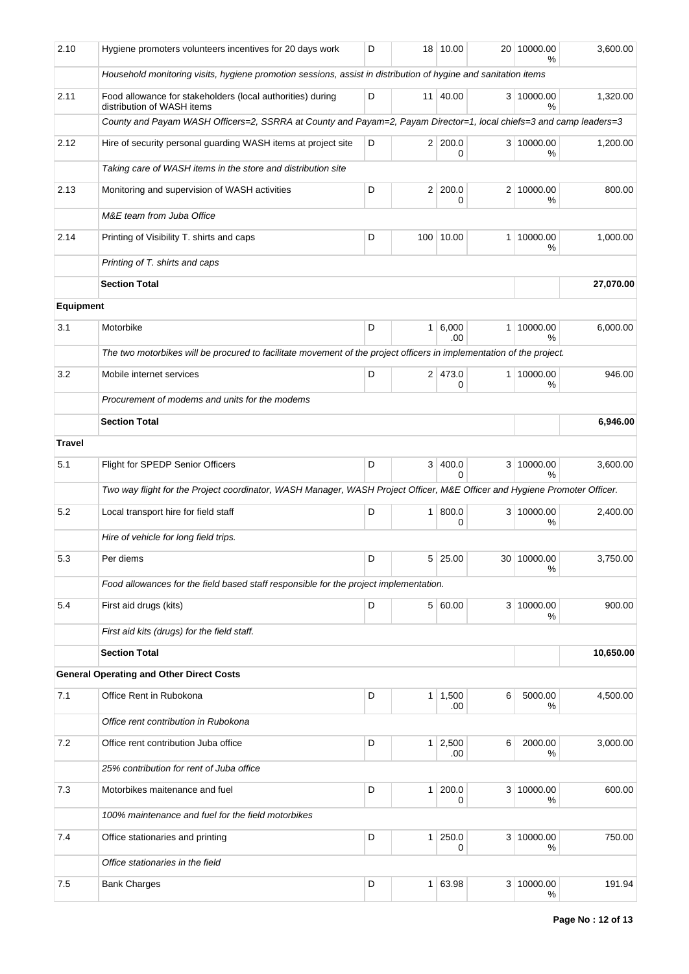| 2.10          | Hygiene promoters volunteers incentives for 20 days work                                                                  | D                             | 18             | 10.00                 |                | 20 10000.00<br>% | 3,600.00  |  |  |
|---------------|---------------------------------------------------------------------------------------------------------------------------|-------------------------------|----------------|-----------------------|----------------|------------------|-----------|--|--|
|               | Household monitoring visits, hygiene promotion sessions, assist in distribution of hygine and sanitation items            |                               |                |                       |                |                  |           |  |  |
| 2.11          | Food allowance for stakeholders (local authorities) during<br>distribution of WASH items                                  | D<br>11 <sup>1</sup><br>40.00 |                |                       |                | 3 10000.00<br>%  | 1,320.00  |  |  |
|               | County and Payam WASH Officers=2, SSRRA at County and Payam=2, Payam Director=1, local chiefs=3 and camp leaders=3        |                               |                |                       |                |                  |           |  |  |
| 2.12          | Hire of security personal guarding WASH items at project site                                                             | 2 200.0<br>D<br>0             |                |                       |                |                  |           |  |  |
|               | Taking care of WASH items in the store and distribution site                                                              |                               |                |                       |                |                  |           |  |  |
| 2.13          | Monitoring and supervision of WASH activities                                                                             | D                             | 2 <sup>1</sup> | 200.0<br>0            | 2 <sup>1</sup> | 10000.00<br>%    | 800.00    |  |  |
|               | M&E team from Juba Office                                                                                                 |                               |                |                       |                |                  |           |  |  |
| 2.14          | Printing of Visibility T. shirts and caps                                                                                 | D                             |                | 100 10.00             | $\mathbf{1}$   | 10000.00<br>%    | 1,000.00  |  |  |
|               | Printing of T. shirts and caps                                                                                            |                               |                |                       |                |                  |           |  |  |
|               | <b>Section Total</b>                                                                                                      |                               |                |                       |                |                  | 27,070.00 |  |  |
| Equipment     |                                                                                                                           |                               |                |                       |                |                  |           |  |  |
| 3.1           | Motorbike                                                                                                                 | D                             | $\mathbf{1}$   | 6,000<br>.00          | 1 <sup>1</sup> | 10000.00<br>%    | 6,000.00  |  |  |
|               | The two motorbikes will be procured to facilitate movement of the project officers in implementation of the project.      |                               |                |                       |                |                  |           |  |  |
| 3.2           | Mobile internet services                                                                                                  | D                             |                | 2 473.0<br>0          | 1 <sup>1</sup> | 10000.00<br>%    | 946.00    |  |  |
|               | Procurement of modems and units for the modems                                                                            |                               |                |                       |                |                  |           |  |  |
|               | <b>Section Total</b><br>6,946.00                                                                                          |                               |                |                       |                |                  |           |  |  |
| <b>Travel</b> |                                                                                                                           |                               |                |                       |                |                  |           |  |  |
| 5.1           | Flight for SPEDP Senior Officers                                                                                          | D                             | 3 <sup>1</sup> | 400.0                 |                | 3 10000.00       | 3,600.00  |  |  |
|               |                                                                                                                           |                               |                | 0                     |                | %                |           |  |  |
|               | Two way flight for the Project coordinator, WASH Manager, WASH Project Officer, M&E Officer and Hygiene Promoter Officer. |                               |                |                       |                |                  |           |  |  |
| 5.2           | Local transport hire for field staff                                                                                      | D                             | $\mathbf{1}$   | 800.0<br>0            |                | 3 10000.00<br>%  | 2,400.00  |  |  |
|               | Hire of vehicle for long field trips.                                                                                     |                               |                |                       |                |                  |           |  |  |
| 5.3           | Per diems                                                                                                                 | D                             | 5              | 25.00                 |                | 30 10000.00<br>℅ | 3,750.00  |  |  |
|               | Food allowances for the field based staff responsible for the project implementation.                                     |                               |                |                       |                |                  |           |  |  |
| 5.4           | First aid drugs (kits)                                                                                                    | D                             |                | 5 60.00               |                | 3 10000.00<br>℅  | 900.00    |  |  |
|               | First aid kits (drugs) for the field staff.                                                                               |                               |                |                       |                |                  |           |  |  |
|               | <b>Section Total</b>                                                                                                      |                               |                | 10,650.00             |                |                  |           |  |  |
|               | <b>General Operating and Other Direct Costs</b>                                                                           |                               |                |                       |                |                  |           |  |  |
| 7.1           | Office Rent in Rubokona                                                                                                   | D                             | 1              | 1,500<br>.00          | 6              | 5000.00<br>℅     | 4,500.00  |  |  |
|               | Office rent contribution in Rubokona                                                                                      |                               |                |                       |                |                  |           |  |  |
| 7.2           | Office rent contribution Juba office                                                                                      | D                             |                | $1 \mid 2,500$<br>.00 | 6              | 2000.00<br>%     | 3,000.00  |  |  |
|               | 25% contribution for rent of Juba office                                                                                  |                               |                |                       |                |                  |           |  |  |
| 7.3           | Motorbikes maitenance and fuel                                                                                            | D                             | $\mathbf{1}$   | 200.0<br>0            |                | 3 10000.00<br>℅  | 600.00    |  |  |
|               | 100% maintenance and fuel for the field motorbikes                                                                        |                               |                |                       |                |                  |           |  |  |
| 7.4           | Office stationaries and printing                                                                                          | D                             | $\mathbf{1}$   | 250.0<br>0            |                | 3 10000.00<br>℅  | 750.00    |  |  |
|               | Office stationaries in the field                                                                                          |                               |                |                       |                |                  |           |  |  |
| 7.5           | <b>Bank Charges</b>                                                                                                       | D                             | $\mathbf{1}$   | 63.98                 | 3 <sup>1</sup> | 10000.00<br>%    | 191.94    |  |  |